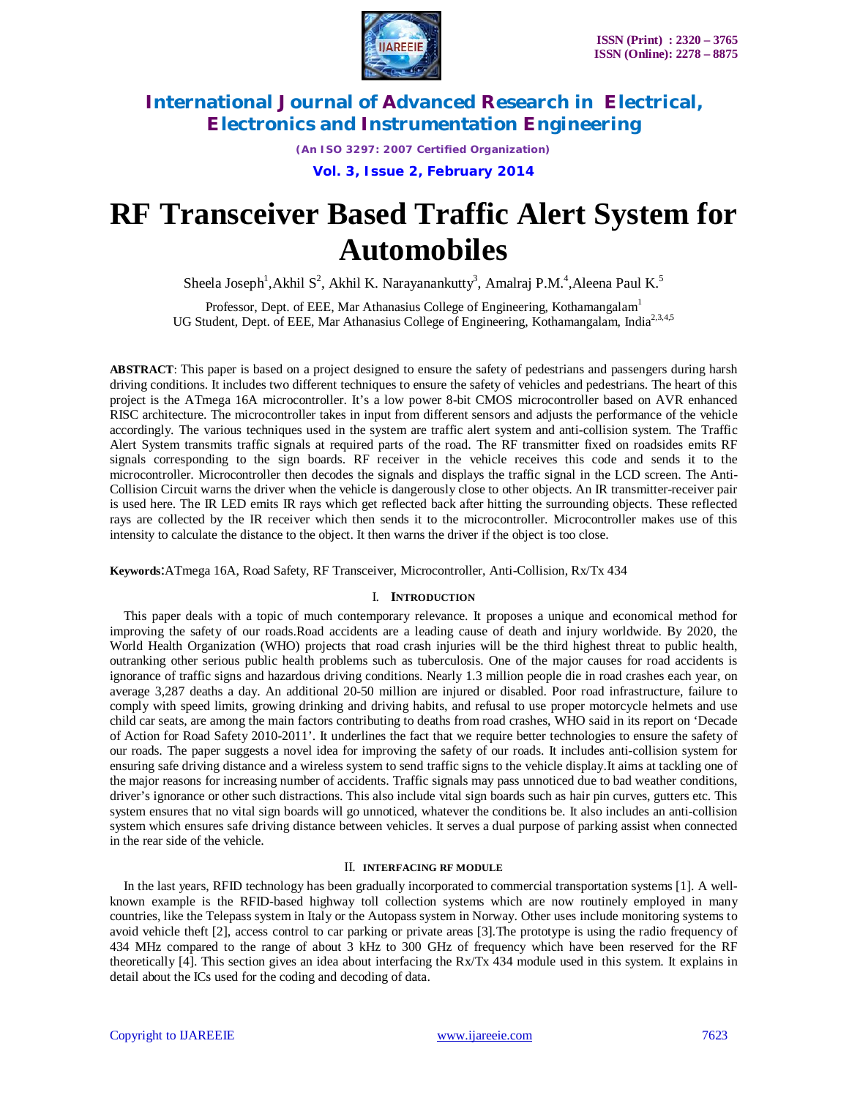

*(An ISO 3297: 2007 Certified Organization)* **Vol. 3, Issue 2, February 2014**

# **RF Transceiver Based Traffic Alert System for Automobiles**

Sheela Joseph<sup>1</sup>,Akhil S<sup>2</sup>, Akhil K. Narayanankutty<sup>3</sup>, Amalraj P.M.<sup>4</sup>,Aleena Paul K.<sup>5</sup>

Professor, Dept. of EEE, Mar Athanasius College of Engineering, Kothamangalam<sup>1</sup> UG Student, Dept. of EEE, Mar Athanasius College of Engineering, Kothamangalam, India<sup>2,3,4,5</sup>

**ABSTRACT**: This paper is based on a project designed to ensure the safety of pedestrians and passengers during harsh driving conditions. It includes two different techniques to ensure the safety of vehicles and pedestrians. The heart of this project is the ATmega 16A microcontroller. It's a low power 8-bit CMOS microcontroller based on AVR enhanced RISC architecture. The microcontroller takes in input from different sensors and adjusts the performance of the vehicle accordingly. The various techniques used in the system are traffic alert system and anti-collision system. The Traffic Alert System transmits traffic signals at required parts of the road. The RF transmitter fixed on roadsides emits RF signals corresponding to the sign boards. RF receiver in the vehicle receives this code and sends it to the microcontroller. Microcontroller then decodes the signals and displays the traffic signal in the LCD screen. The Anti-Collision Circuit warns the driver when the vehicle is dangerously close to other objects. An IR transmitter-receiver pair is used here. The IR LED emits IR rays which get reflected back after hitting the surrounding objects. These reflected rays are collected by the IR receiver which then sends it to the microcontroller. Microcontroller makes use of this intensity to calculate the distance to the object. It then warns the driver if the object is too close.

**Keywords**:ATmega 16A, Road Safety, RF Transceiver, Microcontroller, Anti-Collision, Rx/Tx 434

#### I. **INTRODUCTION**

This paper deals with a topic of much contemporary relevance. It proposes a unique and economical method for improving the safety of our roads.Road accidents are a leading cause of death and injury worldwide. By 2020, the World Health Organization (WHO) projects that road crash injuries will be the third highest threat to public health, outranking other serious public health problems such as tuberculosis. One of the major causes for road accidents is ignorance of traffic signs and hazardous driving conditions. Nearly 1.3 million people die in road crashes each year, on average 3,287 deaths a day. An additional 20-50 million are injured or disabled. Poor road infrastructure, failure to comply with speed limits, growing drinking and driving habits, and refusal to use proper motorcycle helmets and use child car seats, are among the main factors contributing to deaths from road crashes, WHO said in its report on 'Decade of Action for Road Safety 2010-2011'. It underlines the fact that we require better technologies to ensure the safety of our roads. The paper suggests a novel idea for improving the safety of our roads. It includes anti-collision system for ensuring safe driving distance and a wireless system to send traffic signs to the vehicle display.It aims at tackling one of the major reasons for increasing number of accidents. Traffic signals may pass unnoticed due to bad weather conditions, driver's ignorance or other such distractions. This also include vital sign boards such as hair pin curves, gutters etc. This system ensures that no vital sign boards will go unnoticed, whatever the conditions be. It also includes an anti-collision system which ensures safe driving distance between vehicles. It serves a dual purpose of parking assist when connected in the rear side of the vehicle.

#### II. **INTERFACING RF MODULE**

In the last years, RFID technology has been gradually incorporated to commercial transportation systems [1]. A wellknown example is the RFID-based highway toll collection systems which are now routinely employed in many countries, like the Telepass system in Italy or the Autopass system in Norway. Other uses include monitoring systems to avoid vehicle theft [2], access control to car parking or private areas [3].The prototype is using the radio frequency of 434 MHz compared to the range of about 3 kHz to 300 GHz of frequency which have been reserved for the RF theoretically [4]. This section gives an idea about interfacing the Rx/Tx 434 module used in this system. It explains in detail about the ICs used for the coding and decoding of data.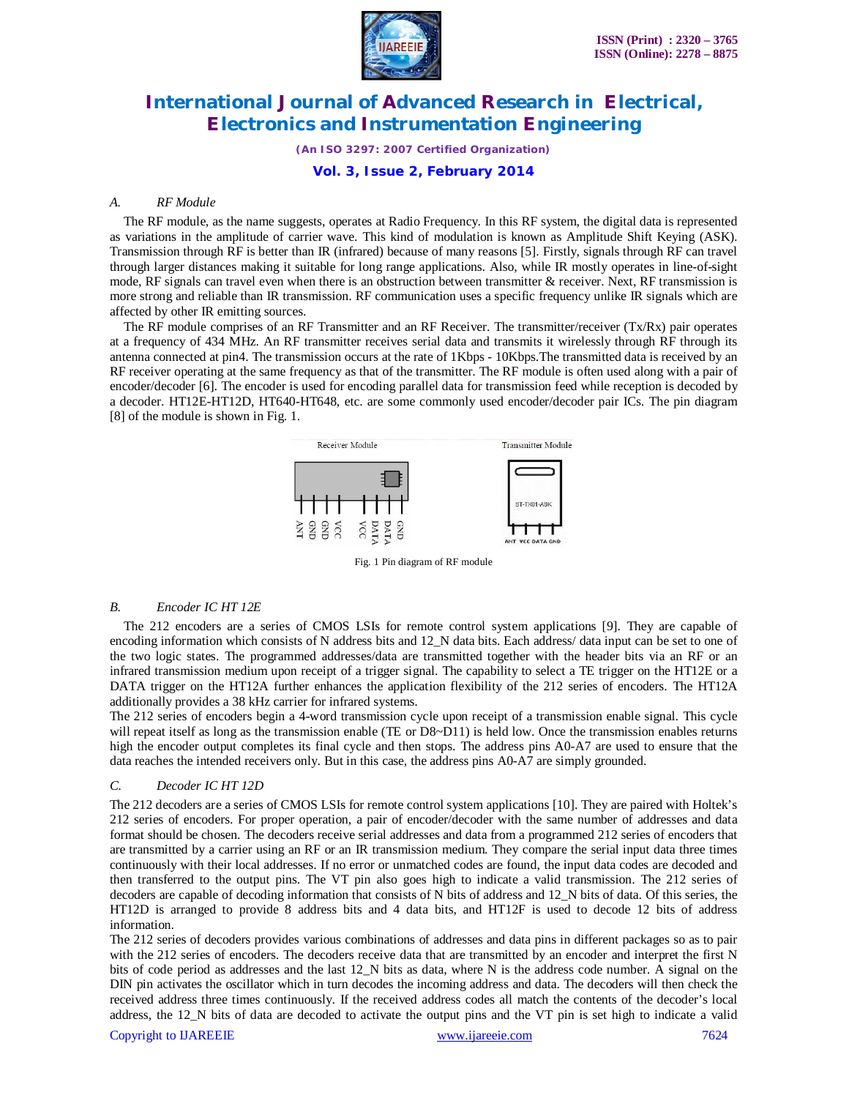

*(An ISO 3297: 2007 Certified Organization)*

**Vol. 3, Issue 2, February 2014**

#### *A. RF Module*

The RF module, as the name suggests, operates at Radio Frequency. In this RF system, the digital data is represented as variations in the amplitude of carrier wave. This kind of modulation is known as Amplitude Shift Keying (ASK). Transmission through RF is better than IR (infrared) because of many reasons [5]. Firstly, signals through RF can travel through larger distances making it suitable for long range applications. Also, while IR mostly operates in line-of-sight mode, RF signals can travel even when there is an obstruction between transmitter & receiver. Next, RF transmission is more strong and reliable than IR transmission. RF communication uses a specific frequency unlike IR signals which are affected by other IR emitting sources.

The RF module comprises of an RF Transmitter and an RF Receiver. The transmitter/receiver (Tx/Rx) pair operates at a frequency of 434 MHz. An RF transmitter receives serial data and transmits it wirelessly through RF through its antenna connected at pin4. The transmission occurs at the rate of 1Kbps - 10Kbps.The transmitted data is received by an RF receiver operating at the same frequency as that of the transmitter. The RF module is often used along with a pair of encoder/decoder [6]. The encoder is used for encoding parallel data for transmission feed while reception is decoded by a decoder. HT12E-HT12D, HT640-HT648, etc. are some commonly used encoder/decoder pair ICs. The pin diagram [8] of the module is shown in Fig. 1.



Fig. 1 Pin diagram of RF module

#### *B. Encoder IC HT 12E*

The 212 encoders are a series of CMOS LSIs for remote control system applications [9]. They are capable of encoding information which consists of N address bits and 12\_N data bits. Each address/ data input can be set to one of the two logic states. The programmed addresses/data are transmitted together with the header bits via an RF or an infrared transmission medium upon receipt of a trigger signal. The capability to select a TE trigger on the HT12E or a DATA trigger on the HT12A further enhances the application flexibility of the 212 series of encoders. The HT12A additionally provides a 38 kHz carrier for infrared systems.

The 212 series of encoders begin a 4-word transmission cycle upon receipt of a transmission enable signal. This cycle will repeat itself as long as the transmission enable (TE or D8~D11) is held low. Once the transmission enables returns high the encoder output completes its final cycle and then stops. The address pins A0-A7 are used to ensure that the data reaches the intended receivers only. But in this case, the address pins A0-A7 are simply grounded.

#### *C. Decoder IC HT 12D*

The 212 decoders are a series of CMOS LSIs for remote control system applications [10]. They are paired with Holtek's 212 series of encoders. For proper operation, a pair of encoder/decoder with the same number of addresses and data format should be chosen. The decoders receive serial addresses and data from a programmed 212 series of encoders that are transmitted by a carrier using an RF or an IR transmission medium. They compare the serial input data three times continuously with their local addresses. If no error or unmatched codes are found, the input data codes are decoded and then transferred to the output pins. The VT pin also goes high to indicate a valid transmission. The 212 series of decoders are capable of decoding information that consists of N bits of address and 12\_N bits of data. Of this series, the HT12D is arranged to provide 8 address bits and 4 data bits, and HT12F is used to decode 12 bits of address information.

The 212 series of decoders provides various combinations of addresses and data pins in different packages so as to pair with the 212 series of encoders. The decoders receive data that are transmitted by an encoder and interpret the first N bits of code period as addresses and the last 12\_N bits as data, where N is the address code number. A signal on the DIN pin activates the oscillator which in turn decodes the incoming address and data. The decoders will then check the received address three times continuously. If the received address codes all match the contents of the decoder's local address, the 12\_N bits of data are decoded to activate the output pins and the VT pin is set high to indicate a valid

#### Copyright to IJAREEIE www.ijareeie.com 7624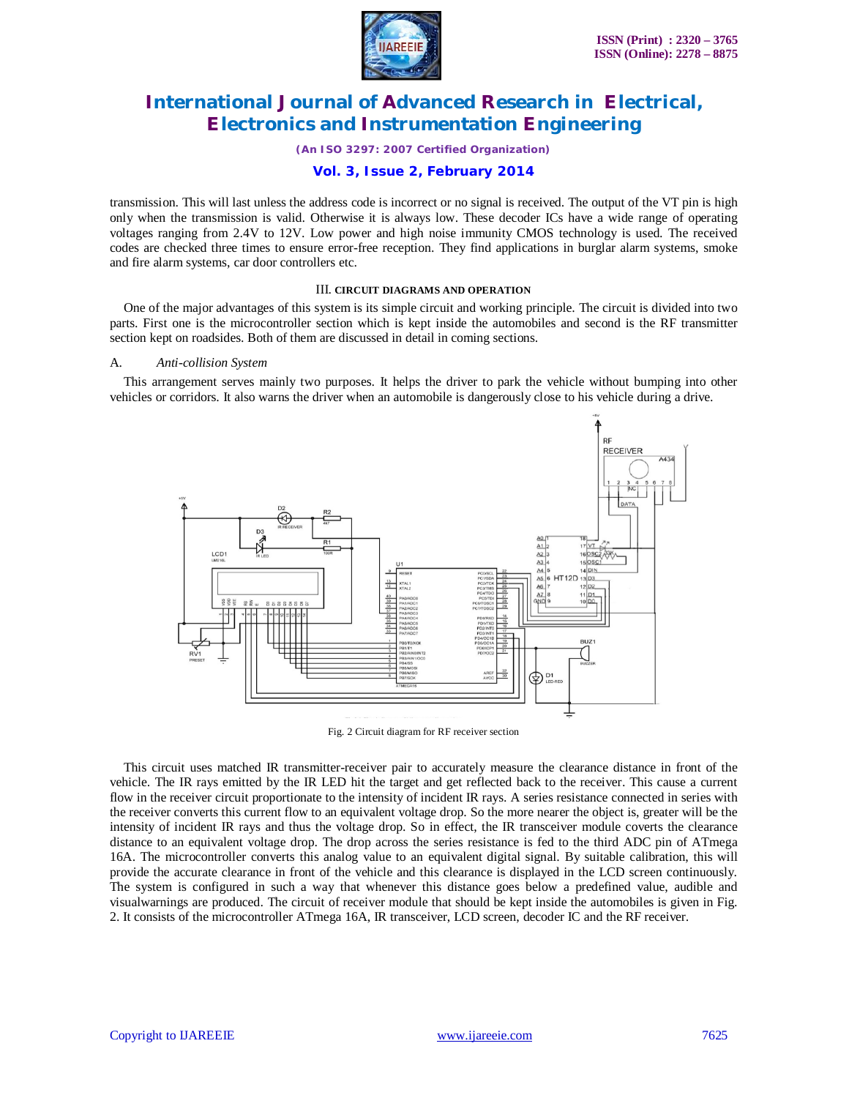

#### *(An ISO 3297: 2007 Certified Organization)*

#### **Vol. 3, Issue 2, February 2014**

transmission. This will last unless the address code is incorrect or no signal is received. The output of the VT pin is high only when the transmission is valid. Otherwise it is always low. These decoder ICs have a wide range of operating voltages ranging from 2.4V to 12V. Low power and high noise immunity CMOS technology is used. The received codes are checked three times to ensure error-free reception. They find applications in burglar alarm systems, smoke and fire alarm systems, car door controllers etc.

#### III. **CIRCUIT DIAGRAMS AND OPERATION**

One of the major advantages of this system is its simple circuit and working principle. The circuit is divided into two parts. First one is the microcontroller section which is kept inside the automobiles and second is the RF transmitter section kept on roadsides. Both of them are discussed in detail in coming sections.

#### A. *Anti-collision System*

This arrangement serves mainly two purposes. It helps the driver to park the vehicle without bumping into other vehicles or corridors. It also warns the driver when an automobile is dangerously close to his vehicle during a drive.



Fig. 2 Circuit diagram for RF receiver section

This circuit uses matched IR transmitter-receiver pair to accurately measure the clearance distance in front of the vehicle. The IR rays emitted by the IR LED hit the target and get reflected back to the receiver. This cause a current flow in the receiver circuit proportionate to the intensity of incident IR rays. A series resistance connected in series with the receiver converts this current flow to an equivalent voltage drop. So the more nearer the object is, greater will be the intensity of incident IR rays and thus the voltage drop. So in effect, the IR transceiver module coverts the clearance distance to an equivalent voltage drop. The drop across the series resistance is fed to the third ADC pin of ATmega 16A. The microcontroller converts this analog value to an equivalent digital signal. By suitable calibration, this will provide the accurate clearance in front of the vehicle and this clearance is displayed in the LCD screen continuously. The system is configured in such a way that whenever this distance goes below a predefined value, audible and visualwarnings are produced. The circuit of receiver module that should be kept inside the automobiles is given in Fig. 2. It consists of the microcontroller ATmega 16A, IR transceiver, LCD screen, decoder IC and the RF receiver.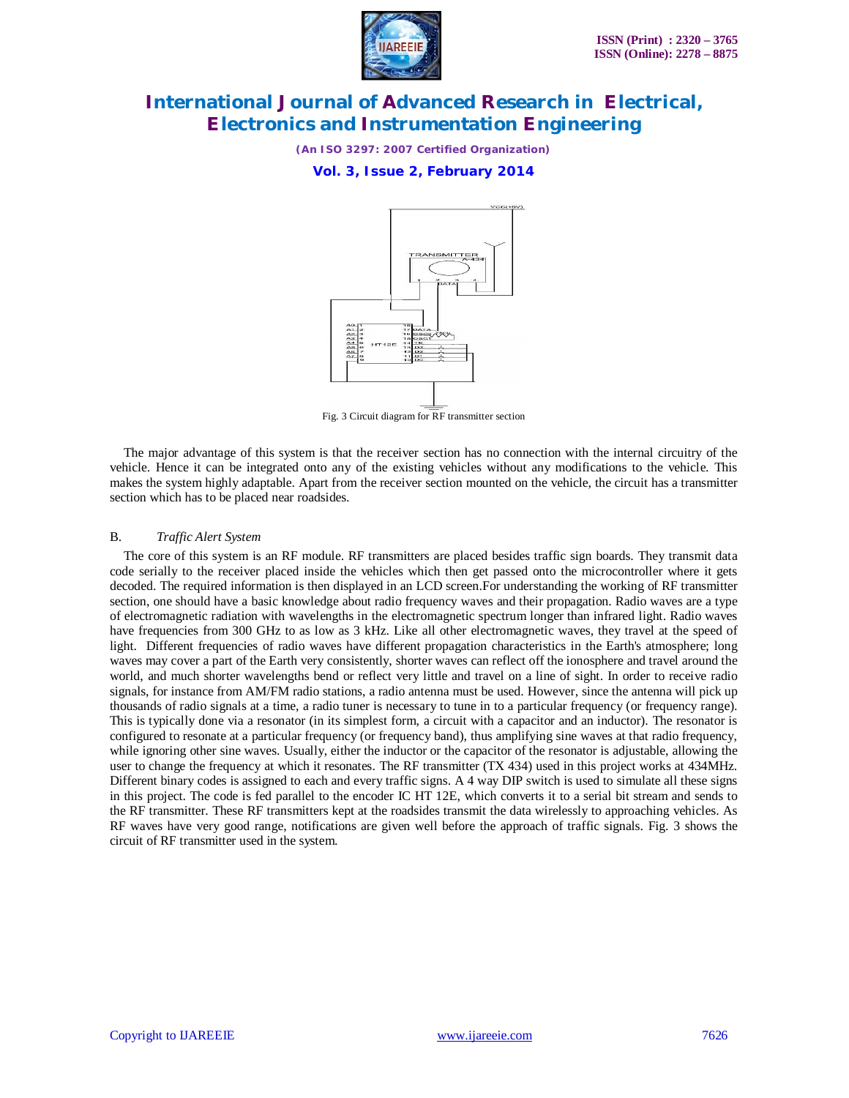

*(An ISO 3297: 2007 Certified Organization)*

**Vol. 3, Issue 2, February 2014**



Fig. 3 Circuit diagram for RF transmitter section

The major advantage of this system is that the receiver section has no connection with the internal circuitry of the vehicle. Hence it can be integrated onto any of the existing vehicles without any modifications to the vehicle. This makes the system highly adaptable. Apart from the receiver section mounted on the vehicle, the circuit has a transmitter section which has to be placed near roadsides.

#### B. *Traffic Alert System*

The core of this system is an RF module. RF transmitters are placed besides traffic sign boards. They transmit data code serially to the receiver placed inside the vehicles which then get passed onto the microcontroller where it gets decoded. The required information is then displayed in an LCD screen.For understanding the working of RF transmitter section, one should have a basic knowledge about radio frequency waves and their propagation. Radio waves are a type of electromagnetic radiation with wavelengths in the electromagnetic spectrum longer than infrared light. Radio waves have frequencies from 300 GHz to as low as 3 kHz. Like all other electromagnetic waves, they travel at the speed of light. Different frequencies of radio waves have different propagation characteristics in the Earth's atmosphere; long waves may cover a part of the Earth very consistently, shorter waves can reflect off the ionosphere and travel around the world, and much shorter wavelengths bend or reflect very little and travel on a line of sight. In order to receive radio signals, for instance from AM/FM radio stations, a radio antenna must be used. However, since the antenna will pick up thousands of radio signals at a time, a radio tuner is necessary to tune in to a particular frequency (or frequency range). This is typically done via a resonator (in its simplest form, a circuit with a capacitor and an inductor). The resonator is configured to resonate at a particular frequency (or frequency band), thus amplifying sine waves at that radio frequency, while ignoring other sine waves. Usually, either the inductor or the capacitor of the resonator is adjustable, allowing the user to change the frequency at which it resonates. The RF transmitter (TX 434) used in this project works at 434MHz. Different binary codes is assigned to each and every traffic signs. A 4 way DIP switch is used to simulate all these signs in this project. The code is fed parallel to the encoder IC HT 12E, which converts it to a serial bit stream and sends to the RF transmitter. These RF transmitters kept at the roadsides transmit the data wirelessly to approaching vehicles. As RF waves have very good range, notifications are given well before the approach of traffic signals. Fig. 3 shows the circuit of RF transmitter used in the system.